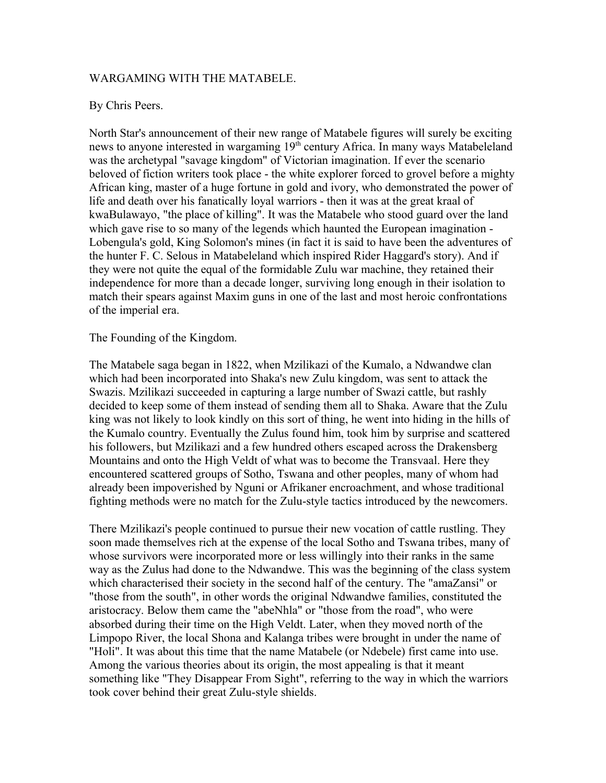## WARGAMING WITH THE MATABELE.

### By Chris Peers.

North Star's announcement of their new range of Matabele figures will surely be exciting news to anyone interested in wargaming 19<sup>th</sup> century Africa. In many ways Matabeleland was the archetypal "savage kingdom" of Victorian imagination. If ever the scenario beloved of fiction writers took place - the white explorer forced to grovel before a mighty African king, master of a huge fortune in gold and ivory, who demonstrated the power of life and death over his fanatically loyal warriors - then it was at the great kraal of kwaBulawayo, "the place of killing". It was the Matabele who stood guard over the land which gave rise to so many of the legends which haunted the European imagination -Lobengula's gold, King Solomon's mines (in fact it is said to have been the adventures of the hunter F. C. Selous in Matabeleland which inspired Rider Haggard's story). And if they were not quite the equal of the formidable Zulu war machine, they retained their independence for more than a decade longer, surviving long enough in their isolation to match their spears against Maxim guns in one of the last and most heroic confrontations of the imperial era.

### The Founding of the Kingdom.

The Matabele saga began in 1822, when Mzilikazi of the Kumalo, a Ndwandwe clan which had been incorporated into Shaka's new Zulu kingdom, was sent to attack the Swazis. Mzilikazi succeeded in capturing a large number of Swazi cattle, but rashly decided to keep some of them instead of sending them all to Shaka. Aware that the Zulu king was not likely to look kindly on this sort of thing, he went into hiding in the hills of the Kumalo country. Eventually the Zulus found him, took him by surprise and scattered his followers, but Mzilikazi and a few hundred others escaped across the Drakensberg Mountains and onto the High Veldt of what was to become the Transvaal. Here they encountered scattered groups of Sotho, Tswana and other peoples, many of whom had already been impoverished by Nguni or Afrikaner encroachment, and whose traditional fighting methods were no match for the Zulu-style tactics introduced by the newcomers.

There Mzilikazi's people continued to pursue their new vocation of cattle rustling. They soon made themselves rich at the expense of the local Sotho and Tswana tribes, many of whose survivors were incorporated more or less willingly into their ranks in the same way as the Zulus had done to the Ndwandwe. This was the beginning of the class system which characterised their society in the second half of the century. The "amaZansi" or "those from the south", in other words the original Ndwandwe families, constituted the aristocracy. Below them came the "abeNhla" or "those from the road", who were absorbed during their time on the High Veldt. Later, when they moved north of the Limpopo River, the local Shona and Kalanga tribes were brought in under the name of "Holi". It was about this time that the name Matabele (or Ndebele) first came into use. Among the various theories about its origin, the most appealing is that it meant something like "They Disappear From Sight", referring to the way in which the warriors took cover behind their great Zulu-style shields.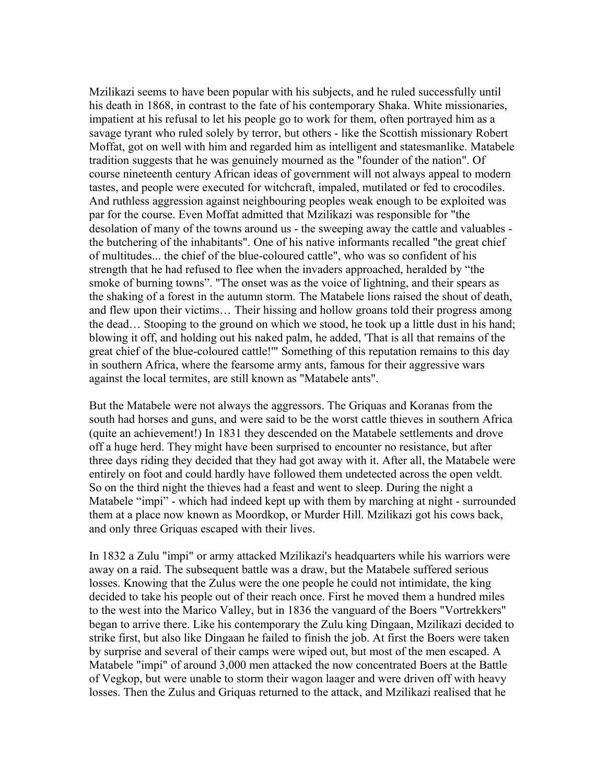Mzilikazi seems to have been popular with his subjects, and he ruled successfully until his death in 1868, in contrast to the fate of his contemporary Shaka. White missionaries, impatient at his refusal to let his people go to work for them, often portrayed him as a savage tyrant who ruled solely by terror, but others - like the Scottish missionary Robert Moffat, got on well with him and regarded him as intelligent and statesmanlike. Matabele tradition suggests that he was genuinely mourned as the "founder of the nation". Of course nineteenth century African ideas of government will not always appeal to modern tastes, and people were executed for witchcraft, impaled, mutilated or fed to crocodiles. And ruthless aggression against neighbouring peoples weak enough to be exploited was par for the course. Even Moffat admitted that Mzilikazi was responsible for "the desolation of many of the towns around us - the sweeping away the cattle and valuables the butchering of the inhabitants". One of his native informants recalled "the great chief of multitudes... the chief of the blue-coloured cattle", who was so confident of his strength that he had refused to flee when the invaders approached, heralded by "the smoke of burning towns". "The onset was as the voice of lightning, and their spears as the shaking of a forest in the autumn storm. The Matabele lions raised the shout of death, and flew upon their victims… Their hissing and hollow groans told their progress among the dead… Stooping to the ground on which we stood, he took up a little dust in his hand; blowing it off, and holding out his naked palm, he added, 'That is all that remains of the great chief of the blue-coloured cattle!'" Something of this reputation remains to this day in southern Africa, where the fearsome army ants, famous for their aggressive wars against the local termites, are still known as "Matabele ants".

But the Matabele were not always the aggressors. The Griquas and Koranas from the south had horses and guns, and were said to be the worst cattle thieves in southern Africa (quite an achievement!) In 1831 they descended on the Matabele settlements and drove off a huge herd. They might have been surprised to encounter no resistance, but after three days riding they decided that they had got away with it. After all, the Matabele were entirely on foot and could hardly have followed them undetected across the open veldt. So on the third night the thieves had a feast and went to sleep. During the night a Matabele "impi" - which had indeed kept up with them by marching at night - surrounded them at a place now known as Moordkop, or Murder Hill. Mzilikazi got his cows back, and only three Griquas escaped with their lives.

In 1832 a Zulu "impi" or army attacked Mzilikazi's headquarters while his warriors were away on a raid. The subsequent battle was a draw, but the Matabele suffered serious losses. Knowing that the Zulus were the one people he could not intimidate, the king decided to take his people out of their reach once. First he moved them a hundred miles to the west into the Marico Valley, but in 1836 the vanguard of the Boers "Vortrekkers" began to arrive there. Like his contemporary the Zulu king Dingaan, Mzilikazi decided to strike first, but also like Dingaan he failed to finish the job. At first the Boers were taken by surprise and several of their camps were wiped out, but most of the men escaped. A Matabele "impi" of around 3,000 men attacked the now concentrated Boers at the Battle of Vegkop, but were unable to storm their wagon laager and were driven off with heavy losses. Then the Zulus and Griquas returned to the attack, and Mzilikazi realised that he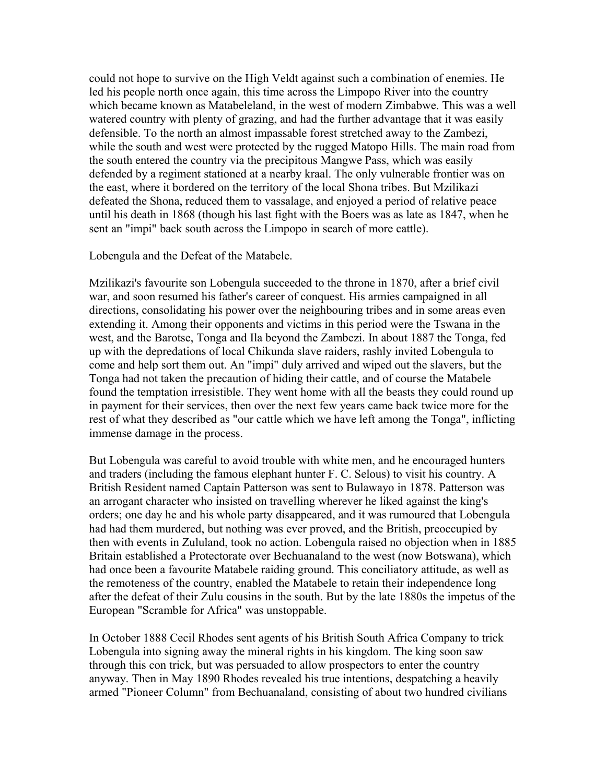could not hope to survive on the High Veldt against such a combination of enemies. He led his people north once again, this time across the Limpopo River into the country which became known as Matabeleland, in the west of modern Zimbabwe. This was a well watered country with plenty of grazing, and had the further advantage that it was easily defensible. To the north an almost impassable forest stretched away to the Zambezi, while the south and west were protected by the rugged Matopo Hills. The main road from the south entered the country via the precipitous Mangwe Pass, which was easily defended by a regiment stationed at a nearby kraal. The only vulnerable frontier was on the east, where it bordered on the territory of the local Shona tribes. But Mzilikazi defeated the Shona, reduced them to vassalage, and enjoyed a period of relative peace until his death in 1868 (though his last fight with the Boers was as late as 1847, when he sent an "impi" back south across the Limpopo in search of more cattle).

Lobengula and the Defeat of the Matabele.

Mzilikazi's favourite son Lobengula succeeded to the throne in 1870, after a brief civil war, and soon resumed his father's career of conquest. His armies campaigned in all directions, consolidating his power over the neighbouring tribes and in some areas even extending it. Among their opponents and victims in this period were the Tswana in the west, and the Barotse, Tonga and Ila beyond the Zambezi. In about 1887 the Tonga, fed up with the depredations of local Chikunda slave raiders, rashly invited Lobengula to come and help sort them out. An "impi" duly arrived and wiped out the slavers, but the Tonga had not taken the precaution of hiding their cattle, and of course the Matabele found the temptation irresistible. They went home with all the beasts they could round up in payment for their services, then over the next few years came back twice more for the rest of what they described as "our cattle which we have left among the Tonga", inflicting immense damage in the process.

But Lobengula was careful to avoid trouble with white men, and he encouraged hunters and traders (including the famous elephant hunter F. C. Selous) to visit his country. A British Resident named Captain Patterson was sent to Bulawayo in 1878. Patterson was an arrogant character who insisted on travelling wherever he liked against the king's orders; one day he and his whole party disappeared, and it was rumoured that Lobengula had had them murdered, but nothing was ever proved, and the British, preoccupied by then with events in Zululand, took no action. Lobengula raised no objection when in 1885 Britain established a Protectorate over Bechuanaland to the west (now Botswana), which had once been a favourite Matabele raiding ground. This conciliatory attitude, as well as the remoteness of the country, enabled the Matabele to retain their independence long after the defeat of their Zulu cousins in the south. But by the late 1880s the impetus of the European "Scramble for Africa" was unstoppable.

In October 1888 Cecil Rhodes sent agents of his British South Africa Company to trick Lobengula into signing away the mineral rights in his kingdom. The king soon saw through this con trick, but was persuaded to allow prospectors to enter the country anyway. Then in May 1890 Rhodes revealed his true intentions, despatching a heavily armed "Pioneer Column" from Bechuanaland, consisting of about two hundred civilians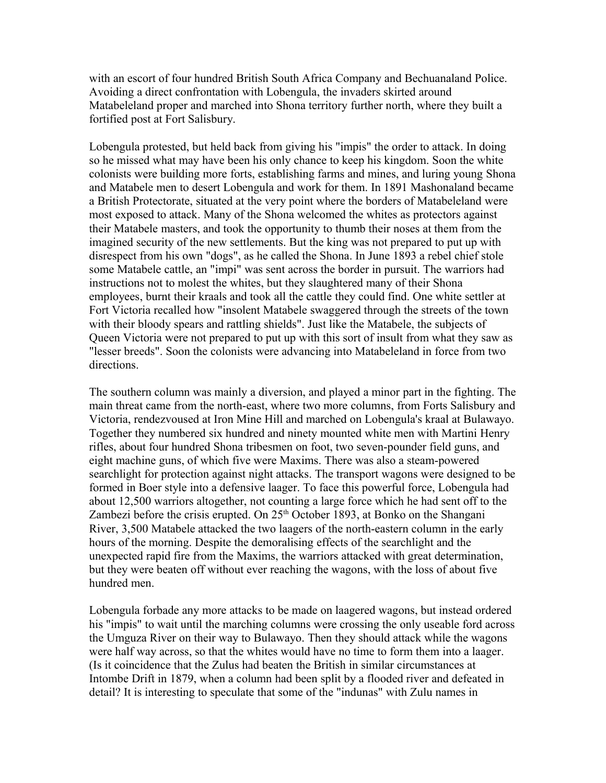with an escort of four hundred British South Africa Company and Bechuanaland Police. Avoiding a direct confrontation with Lobengula, the invaders skirted around Matabeleland proper and marched into Shona territory further north, where they built a fortified post at Fort Salisbury.

Lobengula protested, but held back from giving his "impis" the order to attack. In doing so he missed what may have been his only chance to keep his kingdom. Soon the white colonists were building more forts, establishing farms and mines, and luring young Shona and Matabele men to desert Lobengula and work for them. In 1891 Mashonaland became a British Protectorate, situated at the very point where the borders of Matabeleland were most exposed to attack. Many of the Shona welcomed the whites as protectors against their Matabele masters, and took the opportunity to thumb their noses at them from the imagined security of the new settlements. But the king was not prepared to put up with disrespect from his own "dogs", as he called the Shona. In June 1893 a rebel chief stole some Matabele cattle, an "impi" was sent across the border in pursuit. The warriors had instructions not to molest the whites, but they slaughtered many of their Shona employees, burnt their kraals and took all the cattle they could find. One white settler at Fort Victoria recalled how "insolent Matabele swaggered through the streets of the town with their bloody spears and rattling shields". Just like the Matabele, the subjects of Queen Victoria were not prepared to put up with this sort of insult from what they saw as "lesser breeds". Soon the colonists were advancing into Matabeleland in force from two directions.

The southern column was mainly a diversion, and played a minor part in the fighting. The main threat came from the north-east, where two more columns, from Forts Salisbury and Victoria, rendezvoused at Iron Mine Hill and marched on Lobengula's kraal at Bulawayo. Together they numbered six hundred and ninety mounted white men with Martini Henry rifles, about four hundred Shona tribesmen on foot, two seven-pounder field guns, and eight machine guns, of which five were Maxims. There was also a steam-powered searchlight for protection against night attacks. The transport wagons were designed to be formed in Boer style into a defensive laager. To face this powerful force, Lobengula had about 12,500 warriors altogether, not counting a large force which he had sent off to the Zambezi before the crisis erupted. On  $25<sup>th</sup>$  October 1893, at Bonko on the Shangani River, 3,500 Matabele attacked the two laagers of the north-eastern column in the early hours of the morning. Despite the demoralising effects of the searchlight and the unexpected rapid fire from the Maxims, the warriors attacked with great determination, but they were beaten off without ever reaching the wagons, with the loss of about five hundred men.

Lobengula forbade any more attacks to be made on laagered wagons, but instead ordered his "impis" to wait until the marching columns were crossing the only useable ford across the Umguza River on their way to Bulawayo. Then they should attack while the wagons were half way across, so that the whites would have no time to form them into a laager. (Is it coincidence that the Zulus had beaten the British in similar circumstances at Intombe Drift in 1879, when a column had been split by a flooded river and defeated in detail? It is interesting to speculate that some of the "indunas" with Zulu names in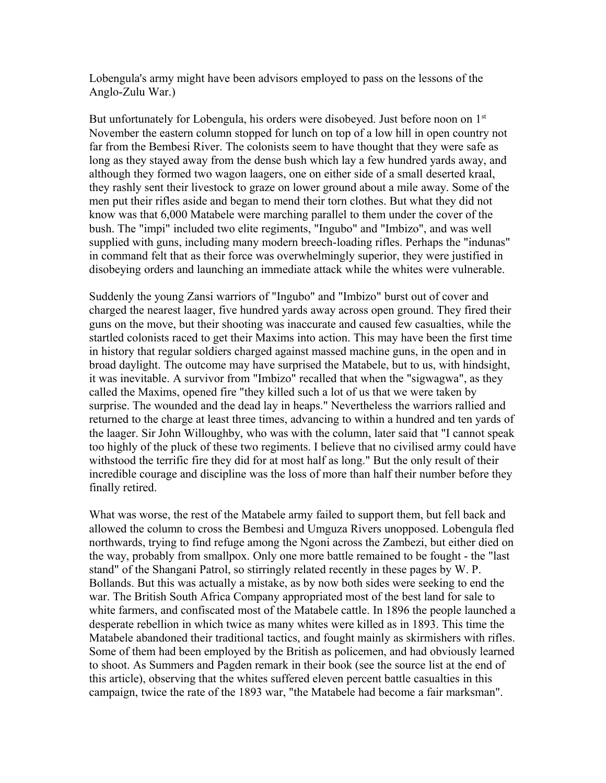Lobengula's army might have been advisors employed to pass on the lessons of the Anglo-Zulu War.)

But unfortunately for Lobengula, his orders were disobeyed. Just before noon on 1<sup>st</sup> November the eastern column stopped for lunch on top of a low hill in open country not far from the Bembesi River. The colonists seem to have thought that they were safe as long as they stayed away from the dense bush which lay a few hundred yards away, and although they formed two wagon laagers, one on either side of a small deserted kraal, they rashly sent their livestock to graze on lower ground about a mile away. Some of the men put their rifles aside and began to mend their torn clothes. But what they did not know was that 6,000 Matabele were marching parallel to them under the cover of the bush. The "impi" included two elite regiments, "Ingubo" and "Imbizo", and was well supplied with guns, including many modern breech-loading rifles. Perhaps the "indunas" in command felt that as their force was overwhelmingly superior, they were justified in disobeying orders and launching an immediate attack while the whites were vulnerable.

Suddenly the young Zansi warriors of "Ingubo" and "Imbizo" burst out of cover and charged the nearest laager, five hundred yards away across open ground. They fired their guns on the move, but their shooting was inaccurate and caused few casualties, while the startled colonists raced to get their Maxims into action. This may have been the first time in history that regular soldiers charged against massed machine guns, in the open and in broad daylight. The outcome may have surprised the Matabele, but to us, with hindsight, it was inevitable. A survivor from "Imbizo" recalled that when the "sigwagwa", as they called the Maxims, opened fire "they killed such a lot of us that we were taken by surprise. The wounded and the dead lay in heaps." Nevertheless the warriors rallied and returned to the charge at least three times, advancing to within a hundred and ten yards of the laager. Sir John Willoughby, who was with the column, later said that "I cannot speak too highly of the pluck of these two regiments. I believe that no civilised army could have withstood the terrific fire they did for at most half as long." But the only result of their incredible courage and discipline was the loss of more than half their number before they finally retired.

What was worse, the rest of the Matabele army failed to support them, but fell back and allowed the column to cross the Bembesi and Umguza Rivers unopposed. Lobengula fled northwards, trying to find refuge among the Ngoni across the Zambezi, but either died on the way, probably from smallpox. Only one more battle remained to be fought - the "last stand" of the Shangani Patrol, so stirringly related recently in these pages by W. P. Bollands. But this was actually a mistake, as by now both sides were seeking to end the war. The British South Africa Company appropriated most of the best land for sale to white farmers, and confiscated most of the Matabele cattle. In 1896 the people launched a desperate rebellion in which twice as many whites were killed as in 1893. This time the Matabele abandoned their traditional tactics, and fought mainly as skirmishers with rifles. Some of them had been employed by the British as policemen, and had obviously learned to shoot. As Summers and Pagden remark in their book (see the source list at the end of this article), observing that the whites suffered eleven percent battle casualties in this campaign, twice the rate of the 1893 war, "the Matabele had become a fair marksman".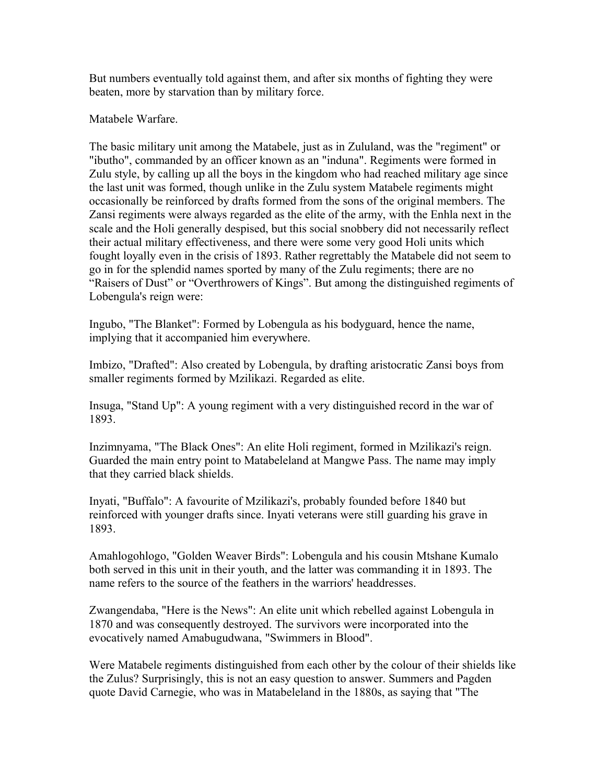But numbers eventually told against them, and after six months of fighting they were beaten, more by starvation than by military force.

# Matabele Warfare.

The basic military unit among the Matabele, just as in Zululand, was the "regiment" or "ibutho", commanded by an officer known as an "induna". Regiments were formed in Zulu style, by calling up all the boys in the kingdom who had reached military age since the last unit was formed, though unlike in the Zulu system Matabele regiments might occasionally be reinforced by drafts formed from the sons of the original members. The Zansi regiments were always regarded as the elite of the army, with the Enhla next in the scale and the Holi generally despised, but this social snobbery did not necessarily reflect their actual military effectiveness, and there were some very good Holi units which fought loyally even in the crisis of 1893. Rather regrettably the Matabele did not seem to go in for the splendid names sported by many of the Zulu regiments; there are no "Raisers of Dust" or "Overthrowers of Kings". But among the distinguished regiments of Lobengula's reign were:

Ingubo, "The Blanket": Formed by Lobengula as his bodyguard, hence the name, implying that it accompanied him everywhere.

Imbizo, "Drafted": Also created by Lobengula, by drafting aristocratic Zansi boys from smaller regiments formed by Mzilikazi. Regarded as elite.

Insuga, "Stand Up": A young regiment with a very distinguished record in the war of 1893.

Inzimnyama, "The Black Ones": An elite Holi regiment, formed in Mzilikazi's reign. Guarded the main entry point to Matabeleland at Mangwe Pass. The name may imply that they carried black shields.

Inyati, "Buffalo": A favourite of Mzilikazi's, probably founded before 1840 but reinforced with younger drafts since. Inyati veterans were still guarding his grave in 1893.

Amahlogohlogo, "Golden Weaver Birds": Lobengula and his cousin Mtshane Kumalo both served in this unit in their youth, and the latter was commanding it in 1893. The name refers to the source of the feathers in the warriors' headdresses.

Zwangendaba, "Here is the News": An elite unit which rebelled against Lobengula in 1870 and was consequently destroyed. The survivors were incorporated into the evocatively named Amabugudwana, "Swimmers in Blood".

Were Matabele regiments distinguished from each other by the colour of their shields like the Zulus? Surprisingly, this is not an easy question to answer. Summers and Pagden quote David Carnegie, who was in Matabeleland in the 1880s, as saying that "The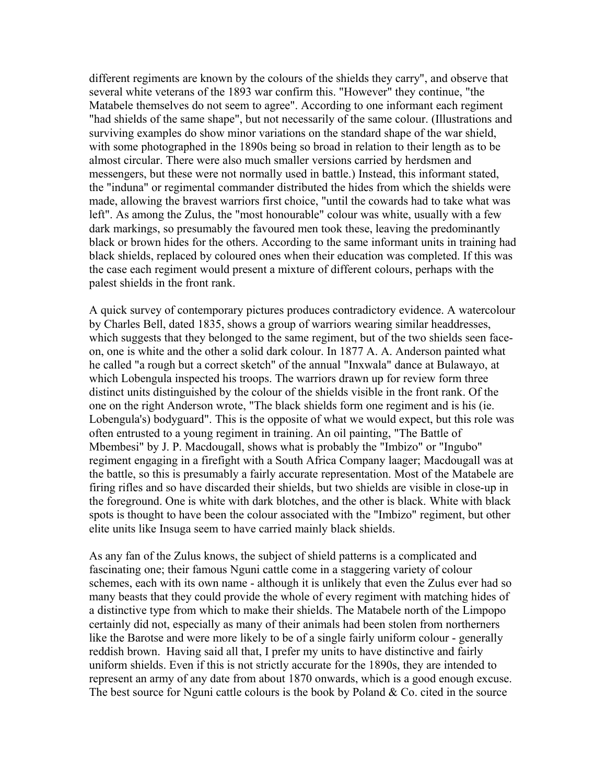different regiments are known by the colours of the shields they carry", and observe that several white veterans of the 1893 war confirm this. "However" they continue, "the Matabele themselves do not seem to agree". According to one informant each regiment "had shields of the same shape", but not necessarily of the same colour. (Illustrations and surviving examples do show minor variations on the standard shape of the war shield, with some photographed in the 1890s being so broad in relation to their length as to be almost circular. There were also much smaller versions carried by herdsmen and messengers, but these were not normally used in battle.) Instead, this informant stated, the "induna" or regimental commander distributed the hides from which the shields were made, allowing the bravest warriors first choice, "until the cowards had to take what was left". As among the Zulus, the "most honourable" colour was white, usually with a few dark markings, so presumably the favoured men took these, leaving the predominantly black or brown hides for the others. According to the same informant units in training had black shields, replaced by coloured ones when their education was completed. If this was the case each regiment would present a mixture of different colours, perhaps with the palest shields in the front rank.

A quick survey of contemporary pictures produces contradictory evidence. A watercolour by Charles Bell, dated 1835, shows a group of warriors wearing similar headdresses, which suggests that they belonged to the same regiment, but of the two shields seen faceon, one is white and the other a solid dark colour. In 1877 A. A. Anderson painted what he called "a rough but a correct sketch" of the annual "Inxwala" dance at Bulawayo, at which Lobengula inspected his troops. The warriors drawn up for review form three distinct units distinguished by the colour of the shields visible in the front rank. Of the one on the right Anderson wrote, "The black shields form one regiment and is his (ie. Lobengula's) bodyguard". This is the opposite of what we would expect, but this role was often entrusted to a young regiment in training. An oil painting, "The Battle of Mbembesi" by J. P. Macdougall, shows what is probably the "Imbizo" or "Ingubo" regiment engaging in a firefight with a South Africa Company laager; Macdougall was at the battle, so this is presumably a fairly accurate representation. Most of the Matabele are firing rifles and so have discarded their shields, but two shields are visible in close-up in the foreground. One is white with dark blotches, and the other is black. White with black spots is thought to have been the colour associated with the "Imbizo" regiment, but other elite units like Insuga seem to have carried mainly black shields.

As any fan of the Zulus knows, the subject of shield patterns is a complicated and fascinating one; their famous Nguni cattle come in a staggering variety of colour schemes, each with its own name - although it is unlikely that even the Zulus ever had so many beasts that they could provide the whole of every regiment with matching hides of a distinctive type from which to make their shields. The Matabele north of the Limpopo certainly did not, especially as many of their animals had been stolen from northerners like the Barotse and were more likely to be of a single fairly uniform colour - generally reddish brown. Having said all that, I prefer my units to have distinctive and fairly uniform shields. Even if this is not strictly accurate for the 1890s, they are intended to represent an army of any date from about 1870 onwards, which is a good enough excuse. The best source for Nguni cattle colours is the book by Poland & Co. cited in the source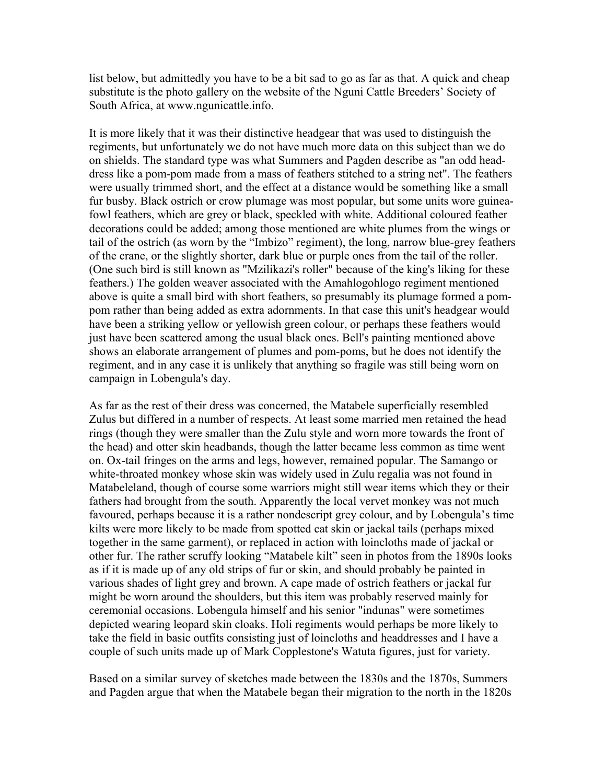list below, but admittedly you have to be a bit sad to go as far as that. A quick and cheap substitute is the photo gallery on the website of the Nguni Cattle Breeders' Society of South Africa, at www.ngunicattle.info.

It is more likely that it was their distinctive headgear that was used to distinguish the regiments, but unfortunately we do not have much more data on this subject than we do on shields. The standard type was what Summers and Pagden describe as "an odd headdress like a pom-pom made from a mass of feathers stitched to a string net". The feathers were usually trimmed short, and the effect at a distance would be something like a small fur busby. Black ostrich or crow plumage was most popular, but some units wore guineafowl feathers, which are grey or black, speckled with white. Additional coloured feather decorations could be added; among those mentioned are white plumes from the wings or tail of the ostrich (as worn by the "Imbizo" regiment), the long, narrow blue-grey feathers of the crane, or the slightly shorter, dark blue or purple ones from the tail of the roller. (One such bird is still known as "Mzilikazi's roller" because of the king's liking for these feathers.) The golden weaver associated with the Amahlogohlogo regiment mentioned above is quite a small bird with short feathers, so presumably its plumage formed a pompom rather than being added as extra adornments. In that case this unit's headgear would have been a striking yellow or yellowish green colour, or perhaps these feathers would just have been scattered among the usual black ones. Bell's painting mentioned above shows an elaborate arrangement of plumes and pom-poms, but he does not identify the regiment, and in any case it is unlikely that anything so fragile was still being worn on campaign in Lobengula's day.

As far as the rest of their dress was concerned, the Matabele superficially resembled Zulus but differed in a number of respects. At least some married men retained the head rings (though they were smaller than the Zulu style and worn more towards the front of the head) and otter skin headbands, though the latter became less common as time went on. Ox-tail fringes on the arms and legs, however, remained popular. The Samango or white-throated monkey whose skin was widely used in Zulu regalia was not found in Matabeleland, though of course some warriors might still wear items which they or their fathers had brought from the south. Apparently the local vervet monkey was not much favoured, perhaps because it is a rather nondescript grey colour, and by Lobengula's time kilts were more likely to be made from spotted cat skin or jackal tails (perhaps mixed together in the same garment), or replaced in action with loincloths made of jackal or other fur. The rather scruffy looking "Matabele kilt" seen in photos from the 1890s looks as if it is made up of any old strips of fur or skin, and should probably be painted in various shades of light grey and brown. A cape made of ostrich feathers or jackal fur might be worn around the shoulders, but this item was probably reserved mainly for ceremonial occasions. Lobengula himself and his senior "indunas" were sometimes depicted wearing leopard skin cloaks. Holi regiments would perhaps be more likely to take the field in basic outfits consisting just of loincloths and headdresses and I have a couple of such units made up of Mark Copplestone's Watuta figures, just for variety.

Based on a similar survey of sketches made between the 1830s and the 1870s, Summers and Pagden argue that when the Matabele began their migration to the north in the 1820s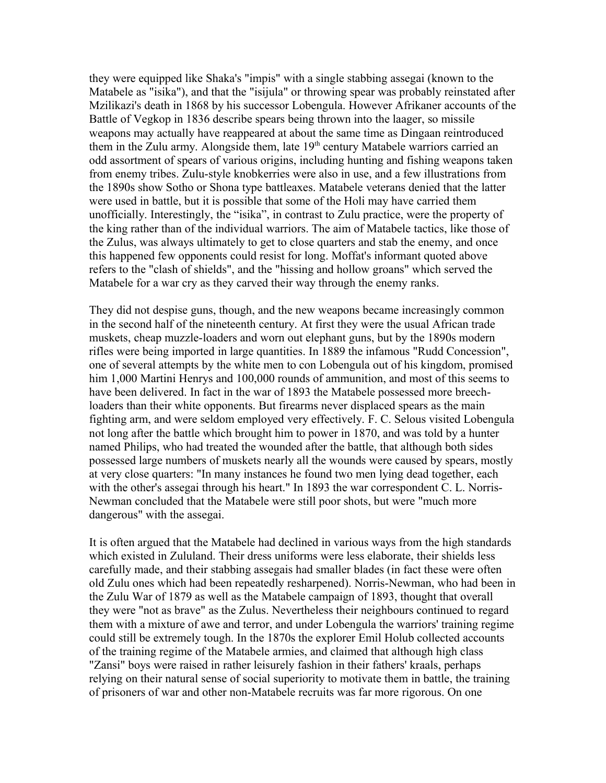they were equipped like Shaka's "impis" with a single stabbing assegai (known to the Matabele as "isika"), and that the "isijula" or throwing spear was probably reinstated after Mzilikazi's death in 1868 by his successor Lobengula. However Afrikaner accounts of the Battle of Vegkop in 1836 describe spears being thrown into the laager, so missile weapons may actually have reappeared at about the same time as Dingaan reintroduced them in the Zulu army. Alongside them, late 19<sup>th</sup> century Matabele warriors carried an odd assortment of spears of various origins, including hunting and fishing weapons taken from enemy tribes. Zulu-style knobkerries were also in use, and a few illustrations from the 1890s show Sotho or Shona type battleaxes. Matabele veterans denied that the latter were used in battle, but it is possible that some of the Holi may have carried them unofficially. Interestingly, the "isika", in contrast to Zulu practice, were the property of the king rather than of the individual warriors. The aim of Matabele tactics, like those of the Zulus, was always ultimately to get to close quarters and stab the enemy, and once this happened few opponents could resist for long. Moffat's informant quoted above refers to the "clash of shields", and the "hissing and hollow groans" which served the Matabele for a war cry as they carved their way through the enemy ranks.

They did not despise guns, though, and the new weapons became increasingly common in the second half of the nineteenth century. At first they were the usual African trade muskets, cheap muzzle-loaders and worn out elephant guns, but by the 1890s modern rifles were being imported in large quantities. In 1889 the infamous "Rudd Concession", one of several attempts by the white men to con Lobengula out of his kingdom, promised him 1,000 Martini Henrys and 100,000 rounds of ammunition, and most of this seems to have been delivered. In fact in the war of 1893 the Matabele possessed more breechloaders than their white opponents. But firearms never displaced spears as the main fighting arm, and were seldom employed very effectively. F. C. Selous visited Lobengula not long after the battle which brought him to power in 1870, and was told by a hunter named Philips, who had treated the wounded after the battle, that although both sides possessed large numbers of muskets nearly all the wounds were caused by spears, mostly at very close quarters: "In many instances he found two men lying dead together, each with the other's assegai through his heart." In 1893 the war correspondent C. L. Norris-Newman concluded that the Matabele were still poor shots, but were "much more dangerous" with the assegai.

It is often argued that the Matabele had declined in various ways from the high standards which existed in Zululand. Their dress uniforms were less elaborate, their shields less carefully made, and their stabbing assegais had smaller blades (in fact these were often old Zulu ones which had been repeatedly resharpened). Norris-Newman, who had been in the Zulu War of 1879 as well as the Matabele campaign of 1893, thought that overall they were "not as brave" as the Zulus. Nevertheless their neighbours continued to regard them with a mixture of awe and terror, and under Lobengula the warriors' training regime could still be extremely tough. In the 1870s the explorer Emil Holub collected accounts of the training regime of the Matabele armies, and claimed that although high class "Zansi" boys were raised in rather leisurely fashion in their fathers' kraals, perhaps relying on their natural sense of social superiority to motivate them in battle, the training of prisoners of war and other non-Matabele recruits was far more rigorous. On one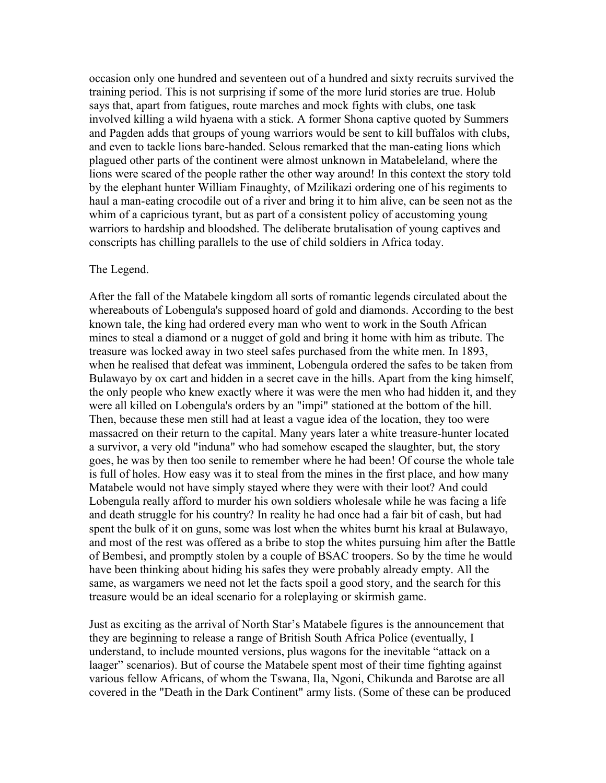occasion only one hundred and seventeen out of a hundred and sixty recruits survived the training period. This is not surprising if some of the more lurid stories are true. Holub says that, apart from fatigues, route marches and mock fights with clubs, one task involved killing a wild hyaena with a stick. A former Shona captive quoted by Summers and Pagden adds that groups of young warriors would be sent to kill buffalos with clubs, and even to tackle lions bare-handed. Selous remarked that the man-eating lions which plagued other parts of the continent were almost unknown in Matabeleland, where the lions were scared of the people rather the other way around! In this context the story told by the elephant hunter William Finaughty, of Mzilikazi ordering one of his regiments to haul a man-eating crocodile out of a river and bring it to him alive, can be seen not as the whim of a capricious tyrant, but as part of a consistent policy of accustoming young warriors to hardship and bloodshed. The deliberate brutalisation of young captives and conscripts has chilling parallels to the use of child soldiers in Africa today.

#### The Legend.

After the fall of the Matabele kingdom all sorts of romantic legends circulated about the whereabouts of Lobengula's supposed hoard of gold and diamonds. According to the best known tale, the king had ordered every man who went to work in the South African mines to steal a diamond or a nugget of gold and bring it home with him as tribute. The treasure was locked away in two steel safes purchased from the white men. In 1893, when he realised that defeat was imminent, Lobengula ordered the safes to be taken from Bulawayo by ox cart and hidden in a secret cave in the hills. Apart from the king himself, the only people who knew exactly where it was were the men who had hidden it, and they were all killed on Lobengula's orders by an "impi" stationed at the bottom of the hill. Then, because these men still had at least a vague idea of the location, they too were massacred on their return to the capital. Many years later a white treasure-hunter located a survivor, a very old "induna" who had somehow escaped the slaughter, but, the story goes, he was by then too senile to remember where he had been! Of course the whole tale is full of holes. How easy was it to steal from the mines in the first place, and how many Matabele would not have simply stayed where they were with their loot? And could Lobengula really afford to murder his own soldiers wholesale while he was facing a life and death struggle for his country? In reality he had once had a fair bit of cash, but had spent the bulk of it on guns, some was lost when the whites burnt his kraal at Bulawayo, and most of the rest was offered as a bribe to stop the whites pursuing him after the Battle of Bembesi, and promptly stolen by a couple of BSAC troopers. So by the time he would have been thinking about hiding his safes they were probably already empty. All the same, as wargamers we need not let the facts spoil a good story, and the search for this treasure would be an ideal scenario for a roleplaying or skirmish game.

Just as exciting as the arrival of North Star's Matabele figures is the announcement that they are beginning to release a range of British South Africa Police (eventually, I understand, to include mounted versions, plus wagons for the inevitable "attack on a laager" scenarios). But of course the Matabele spent most of their time fighting against various fellow Africans, of whom the Tswana, Ila, Ngoni, Chikunda and Barotse are all covered in the "Death in the Dark Continent" army lists. (Some of these can be produced